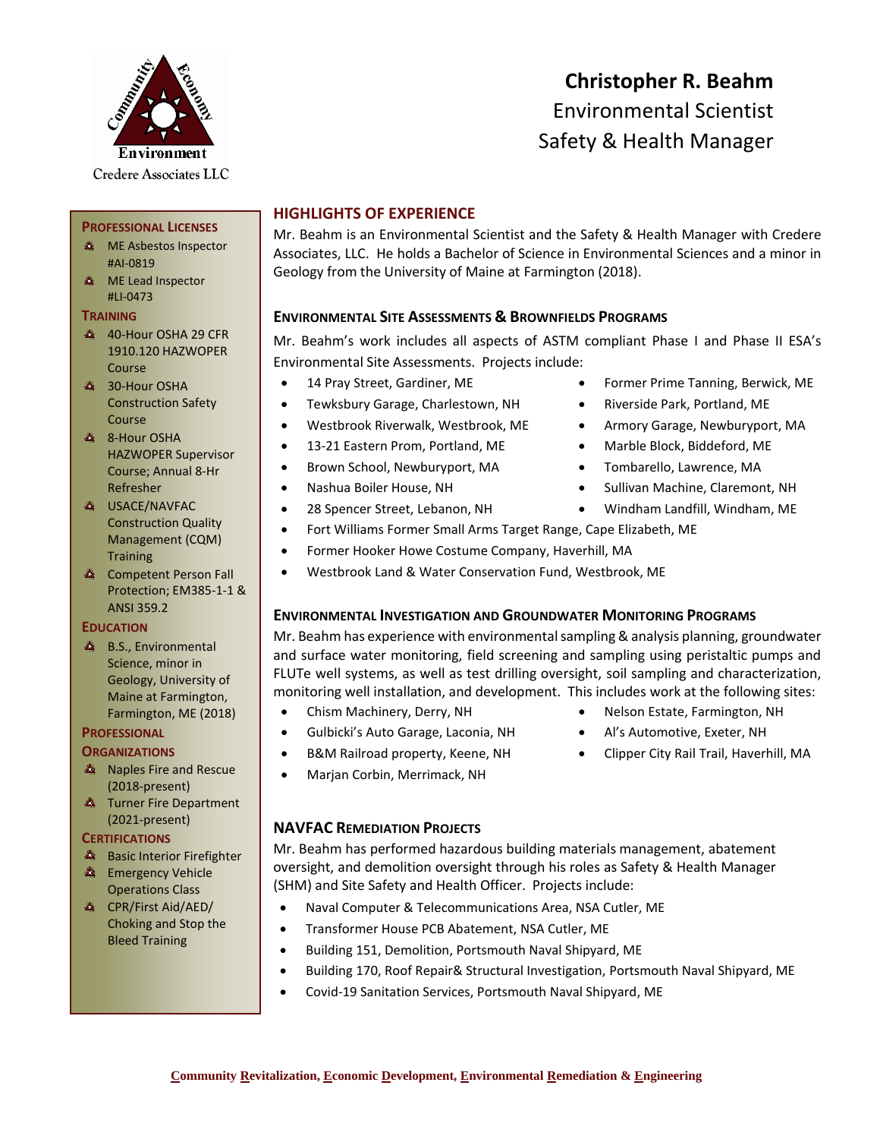

**PROFESSIONAL LICENSES A** ME Asbestos Inspector

40-Hour OSHA 29 CFR 1910.120 HAZWOPER

Construction Safety

HAZWOPER Supervisor Course; Annual 8-Hr

Construction Quality Management (CQM)

**Competent Person Fall** Protection; EM385-1-1 &

#AI-0819 **A** ME Lead Inspector #LI-0473 **TRAINING**

Course **30-Hour OSHA** 

Course **8-Hour OSHA** 

Refresher **A** USACE/NAVFAC

**Training** 

ANSI 359.2

**A** B.S., Environmental Science, minor in Geology, University of Maine at Farmington, Farmington, ME (2018)

**EDUCATION**

# **Christopher R. Beahm** Environmental Scientist Safety & Health Manager

# **HIGHLIGHTS OF EXPERIENCE**

Mr. Beahm is an Environmental Scientist and the Safety & Health Manager with Credere Associates, LLC. He holds a Bachelor of Science in Environmental Sciences and a minor in Geology from the University of Maine at Farmington (2018).

## **ENVIRONMENTAL SITE ASSESSMENTS & BROWNFIELDS PROGRAMS**

Mr. Beahm's work includes all aspects of ASTM compliant Phase I and Phase II ESA's Environmental Site Assessments. Projects include:

- 
- Tewksbury Garage, Charlestown, NH Riverside Park, Portland, ME
- Westbrook Riverwalk, Westbrook, ME Armory Garage, Newburyport, MA
- 13-21 Eastern Prom, Portland, ME Marble Block, Biddeford, ME
- Brown School, Newburyport, MA Tombarello, Lawrence, MA
- 
- 
- Fort Williams Former Small Arms Target Range, Cape Elizabeth, ME
- Former Hooker Howe Costume Company, Haverhill, MA
- Westbrook Land & Water Conservation Fund, Westbrook, ME

#### **ENVIRONMENTAL INVESTIGATION AND GROUNDWATER MONITORING PROGRAMS**

Mr. Beahm has experience with environmental sampling & analysis planning, groundwater and surface water monitoring, field screening and sampling using peristaltic pumps and FLUTe well systems, as well as test drilling oversight, soil sampling and characterization, monitoring well installation, and development. This includes work at the following sites:

- 
- Gulbicki's Auto Garage, Laconia, NH Al's Automotive, Exeter, NH
- 
- Marjan Corbin, Merrimack, NH

## **NAVFAC REMEDIATION PROJECTS**

Mr. Beahm has performed hazardous building materials management, abatement oversight, and demolition oversight through his roles as Safety & Health Manager (SHM) and Site Safety and Health Officer. Projects include:

- Naval Computer & Telecommunications Area, NSA Cutler, ME
- Transformer House PCB Abatement, NSA Cutler, ME
- Building 151, Demolition, Portsmouth Naval Shipyard, ME
- Building 170, Roof Repair& Structural Investigation, Portsmouth Naval Shipyard, ME
- Covid-19 Sanitation Services, Portsmouth Naval Shipyard, ME
- **Community Revitalization, Economic Development, Environmental Remediation & Engineering**
- 14 Pray Street, Gardiner, ME Former Prime Tanning, Berwick, ME
	-
	-
	-
	-
- Nashua Boiler House, NH Sullivan Machine, Claremont, NH
- 28 Spencer Street, Lebanon, NH Windham Landfill, Windham, ME
	-
- Chism Machinery, Derry, NH Nelson Estate, Farmington, NH
	-
- B&M Railroad property, Keene, NH Clipper City Rail Trail, Haverhill, MA
- **Naples Fire and Rescue**
- (2018-present) **A** Turner Fire Department
- (2021-present)

#### **CERTIFICATIONS**

**PROFESSIONAL ORGANIZATIONS**

- **Basic Interior Firefighter**
- **Emergency Vehicle** Operations Class
- **A** CPR/First Aid/AED/ Choking and Stop the Bleed Training